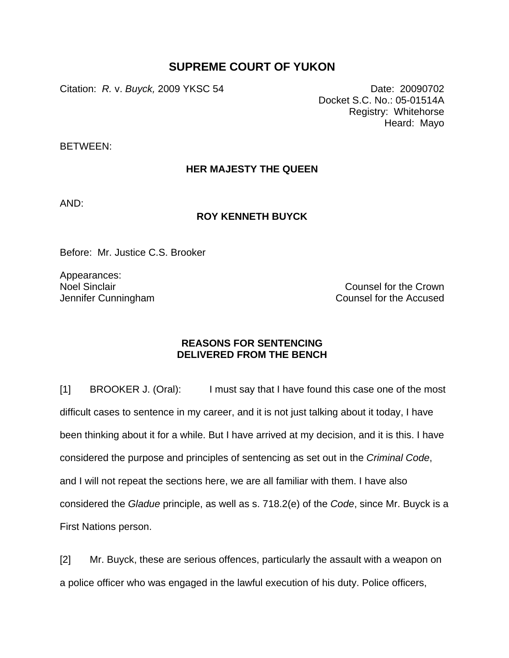## **SUPREME COURT OF YUKON**

Citation: *R.* v. *Buyck,* 2009 YKSC 54 Date: 20090702

Docket S.C. No.: 05-01514A Registry: Whitehorse Heard: Mayo

BETWEEN:

## **HER MAJESTY THE QUEEN**

AND:

## **ROY KENNETH BUYCK**

Before: Mr. Justice C.S. Brooker

Appearances: Noel Sinclair Jennifer Cunningham

Counsel for the Crown Counsel for the Accused

## **REASONS FOR SENTENCING DELIVERED FROM THE BENCH**

[1] BROOKER J. (Oral): I must say that I have found this case one of the most difficult cases to sentence in my career, and it is not just talking about it today, I have been thinking about it for a while. But I have arrived at my decision, and it is this. I have considered the purpose and principles of sentencing as set out in the *Criminal Code*, and I will not repeat the sections here, we are all familiar with them. I have also considered the *Gladue* principle, as well as s. 718.2(e) of the *Code*, since Mr. Buyck is a First Nations person.

[2] Mr. Buyck, these are serious offences, particularly the assault with a weapon on a police officer who was engaged in the lawful execution of his duty. Police officers,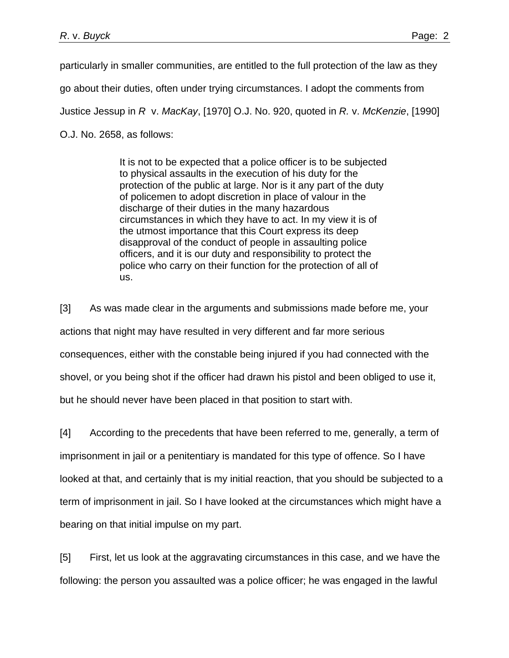particularly in smaller communities, are entitled to the full protection of the law as they go about their duties, often under trying circumstances. I adopt the comments from Justice Jessup in *R* v. *MacKay*, [1970] O.J. No. 920, quoted in *R.* v. *McKenzie*, [1990] O.J. No. 2658, as follows:

> It is not to be expected that a police officer is to be subjected to physical assaults in the execution of his duty for the protection of the public at large. Nor is it any part of the duty of policemen to adopt discretion in place of valour in the discharge of their duties in the many hazardous circumstances in which they have to act. In my view it is of the utmost importance that this Court express its deep disapproval of the conduct of people in assaulting police officers, and it is our duty and responsibility to protect the police who carry on their function for the protection of all of us.

[3] As was made clear in the arguments and submissions made before me, your actions that night may have resulted in very different and far more serious consequences, either with the constable being injured if you had connected with the shovel, or you being shot if the officer had drawn his pistol and been obliged to use it, but he should never have been placed in that position to start with.

[4] According to the precedents that have been referred to me, generally, a term of imprisonment in jail or a penitentiary is mandated for this type of offence. So I have looked at that, and certainly that is my initial reaction, that you should be subjected to a term of imprisonment in jail. So I have looked at the circumstances which might have a bearing on that initial impulse on my part.

[5] First, let us look at the aggravating circumstances in this case, and we have the following: the person you assaulted was a police officer; he was engaged in the lawful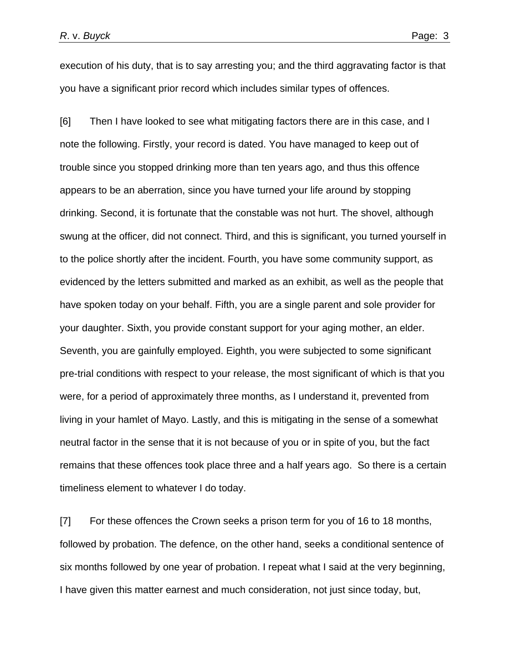execution of his duty, that is to say arresting you; and the third aggravating factor is that you have a significant prior record which includes similar types of offences.

[6] Then I have looked to see what mitigating factors there are in this case, and I note the following. Firstly, your record is dated. You have managed to keep out of trouble since you stopped drinking more than ten years ago, and thus this offence appears to be an aberration, since you have turned your life around by stopping drinking. Second, it is fortunate that the constable was not hurt. The shovel, although swung at the officer, did not connect. Third, and this is significant, you turned yourself in to the police shortly after the incident. Fourth, you have some community support, as evidenced by the letters submitted and marked as an exhibit, as well as the people that have spoken today on your behalf. Fifth, you are a single parent and sole provider for your daughter. Sixth, you provide constant support for your aging mother, an elder. Seventh, you are gainfully employed. Eighth, you were subjected to some significant pre-trial conditions with respect to your release, the most significant of which is that you were, for a period of approximately three months, as I understand it, prevented from living in your hamlet of Mayo. Lastly, and this is mitigating in the sense of a somewhat neutral factor in the sense that it is not because of you or in spite of you, but the fact remains that these offences took place three and a half years ago. So there is a certain timeliness element to whatever I do today.

[7] For these offences the Crown seeks a prison term for you of 16 to 18 months, followed by probation. The defence, on the other hand, seeks a conditional sentence of six months followed by one year of probation. I repeat what I said at the very beginning, I have given this matter earnest and much consideration, not just since today, but,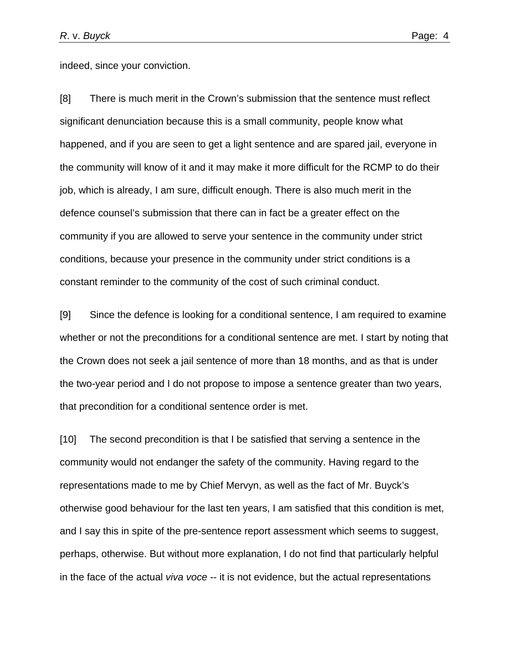indeed, since your conviction.

[8] There is much merit in the Crown's submission that the sentence must reflect significant denunciation because this is a small community, people know what happened, and if you are seen to get a light sentence and are spared jail, everyone in the community will know of it and it may make it more difficult for the RCMP to do their job, which is already, I am sure, difficult enough. There is also much merit in the defence counsel's submission that there can in fact be a greater effect on the community if you are allowed to serve your sentence in the community under strict conditions, because your presence in the community under strict conditions is a constant reminder to the community of the cost of such criminal conduct.

[9] Since the defence is looking for a conditional sentence, I am required to examine whether or not the preconditions for a conditional sentence are met. I start by noting that the Crown does not seek a jail sentence of more than 18 months, and as that is under the two-year period and I do not propose to impose a sentence greater than two years, that precondition for a conditional sentence order is met.

[10] The second precondition is that I be satisfied that serving a sentence in the community would not endanger the safety of the community. Having regard to the representations made to me by Chief Mervyn, as well as the fact of Mr. Buyck's otherwise good behaviour for the last ten years, I am satisfied that this condition is met, and I say this in spite of the pre-sentence report assessment which seems to suggest, perhaps, otherwise. But without more explanation, I do not find that particularly helpful in the face of the actual *viva voce* -- it is not evidence, but the actual representations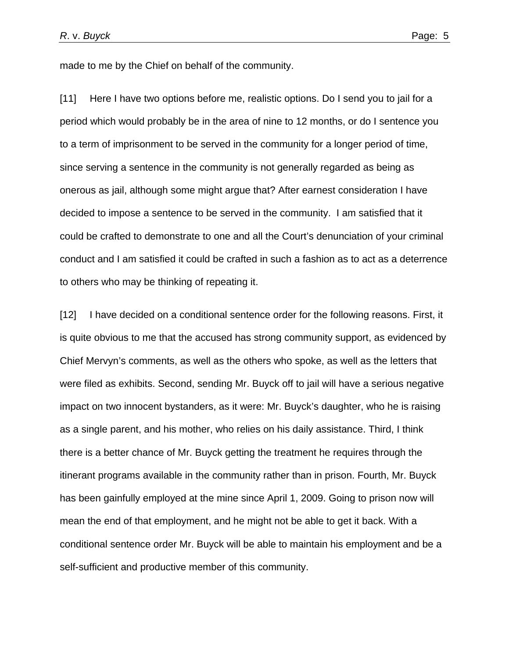made to me by the Chief on behalf of the community.

[11] Here I have two options before me, realistic options. Do I send you to jail for a period which would probably be in the area of nine to 12 months, or do I sentence you to a term of imprisonment to be served in the community for a longer period of time, since serving a sentence in the community is not generally regarded as being as onerous as jail, although some might argue that? After earnest consideration I have decided to impose a sentence to be served in the community. I am satisfied that it could be crafted to demonstrate to one and all the Court's denunciation of your criminal conduct and I am satisfied it could be crafted in such a fashion as to act as a deterrence to others who may be thinking of repeating it.

[12] I have decided on a conditional sentence order for the following reasons. First, it is quite obvious to me that the accused has strong community support, as evidenced by Chief Mervyn's comments, as well as the others who spoke, as well as the letters that were filed as exhibits. Second, sending Mr. Buyck off to jail will have a serious negative impact on two innocent bystanders, as it were: Mr. Buyck's daughter, who he is raising as a single parent, and his mother, who relies on his daily assistance. Third, I think there is a better chance of Mr. Buyck getting the treatment he requires through the itinerant programs available in the community rather than in prison. Fourth, Mr. Buyck has been gainfully employed at the mine since April 1, 2009. Going to prison now will mean the end of that employment, and he might not be able to get it back. With a conditional sentence order Mr. Buyck will be able to maintain his employment and be a self-sufficient and productive member of this community.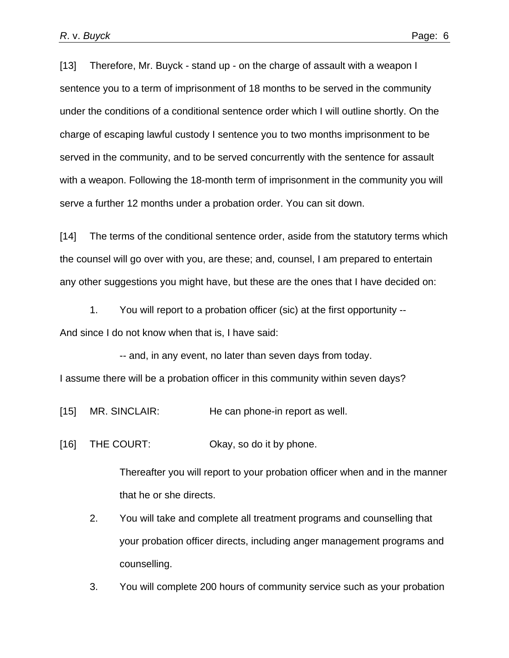[13] Therefore, Mr. Buyck - stand up - on the charge of assault with a weapon I sentence you to a term of imprisonment of 18 months to be served in the community under the conditions of a conditional sentence order which I will outline shortly. On the charge of escaping lawful custody I sentence you to two months imprisonment to be served in the community, and to be served concurrently with the sentence for assault with a weapon. Following the 18-month term of imprisonment in the community you will serve a further 12 months under a probation order. You can sit down.

[14] The terms of the conditional sentence order, aside from the statutory terms which the counsel will go over with you, are these; and, counsel, I am prepared to entertain any other suggestions you might have, but these are the ones that I have decided on:

1. You will report to a probation officer (sic) at the first opportunity -- And since I do not know when that is, I have said:

-- and, in any event, no later than seven days from today.

I assume there will be a probation officer in this community within seven days?

[15] MR. SINCLAIR: He can phone-in report as well.

[16] THE COURT: Okay, so do it by phone.

Thereafter you will report to your probation officer when and in the manner that he or she directs.

2. You will take and complete all treatment programs and counselling that your probation officer directs, including anger management programs and counselling.

3. You will complete 200 hours of community service such as your probation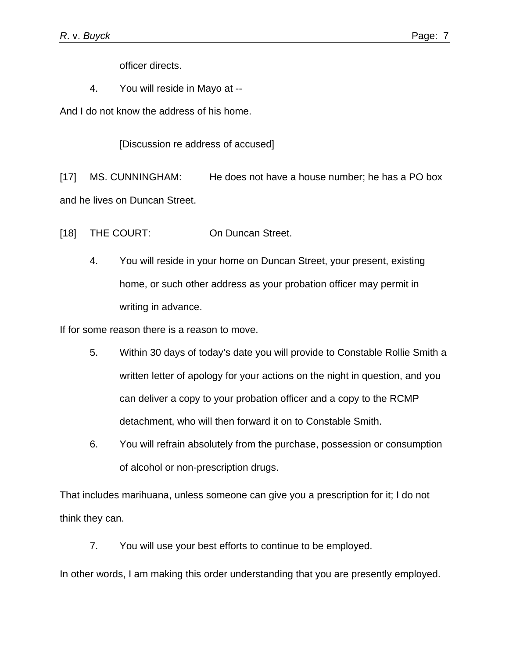officer directs.

4. You will reside in Mayo at --

And I do not know the address of his home.

[Discussion re address of accused]

[17] MS. CUNNINGHAM: He does not have a house number; he has a PO box and he lives on Duncan Street.

[18] THE COURT: On Duncan Street.

4. You will reside in your home on Duncan Street, your present, existing home, or such other address as your probation officer may permit in writing in advance.

If for some reason there is a reason to move.

- 5. Within 30 days of today's date you will provide to Constable Rollie Smith a written letter of apology for your actions on the night in question, and you can deliver a copy to your probation officer and a copy to the RCMP detachment, who will then forward it on to Constable Smith.
- 6. You will refrain absolutely from the purchase, possession or consumption of alcohol or non-prescription drugs.

That includes marihuana, unless someone can give you a prescription for it; I do not think they can.

7. You will use your best efforts to continue to be employed.

In other words, I am making this order understanding that you are presently employed.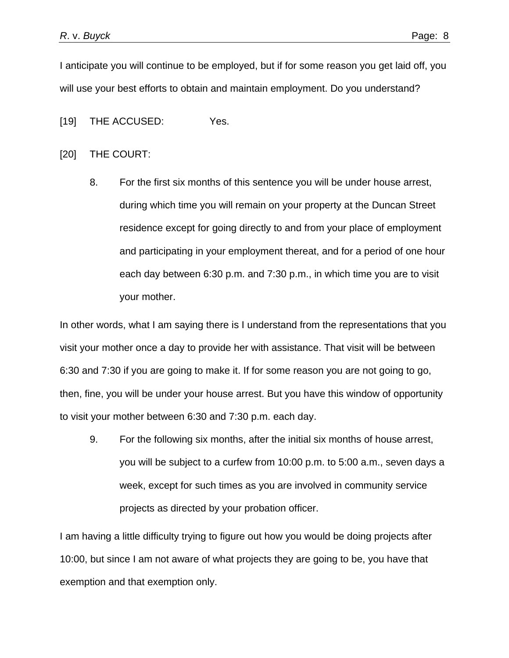I anticipate you will continue to be employed, but if for some reason you get laid off, you will use your best efforts to obtain and maintain employment. Do you understand?

[19] THE ACCUSED: Yes.

[20] THE COURT:

8. For the first six months of this sentence you will be under house arrest, during which time you will remain on your property at the Duncan Street residence except for going directly to and from your place of employment and participating in your employment thereat, and for a period of one hour each day between 6:30 p.m. and 7:30 p.m., in which time you are to visit your mother.

In other words, what I am saying there is I understand from the representations that you visit your mother once a day to provide her with assistance. That visit will be between 6:30 and 7:30 if you are going to make it. If for some reason you are not going to go, then, fine, you will be under your house arrest. But you have this window of opportunity to visit your mother between 6:30 and 7:30 p.m. each day.

9. For the following six months, after the initial six months of house arrest, you will be subject to a curfew from 10:00 p.m. to 5:00 a.m., seven days a week, except for such times as you are involved in community service projects as directed by your probation officer.

I am having a little difficulty trying to figure out how you would be doing projects after 10:00, but since I am not aware of what projects they are going to be, you have that exemption and that exemption only.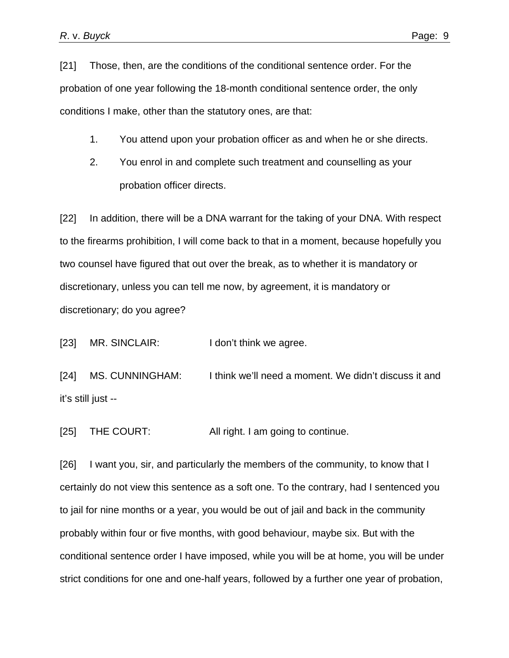[21] Those, then, are the conditions of the conditional sentence order. For the probation of one year following the 18-month conditional sentence order, the only conditions I make, other than the statutory ones, are that:

- 1. You attend upon your probation officer as and when he or she directs.
- 2. You enrol in and complete such treatment and counselling as your probation officer directs.

[22] In addition, there will be a DNA warrant for the taking of your DNA. With respect to the firearms prohibition, I will come back to that in a moment, because hopefully you two counsel have figured that out over the break, as to whether it is mandatory or discretionary, unless you can tell me now, by agreement, it is mandatory or discretionary; do you agree?

[23] MR. SINCLAIR: I don't think we agree.

[24] MS. CUNNINGHAM: I think we'll need a moment. We didn't discuss it and it's still just --

[25] THE COURT: All right. I am going to continue.

[26] I want you, sir, and particularly the members of the community, to know that I certainly do not view this sentence as a soft one. To the contrary, had I sentenced you to jail for nine months or a year, you would be out of jail and back in the community probably within four or five months, with good behaviour, maybe six. But with the conditional sentence order I have imposed, while you will be at home, you will be under strict conditions for one and one-half years, followed by a further one year of probation,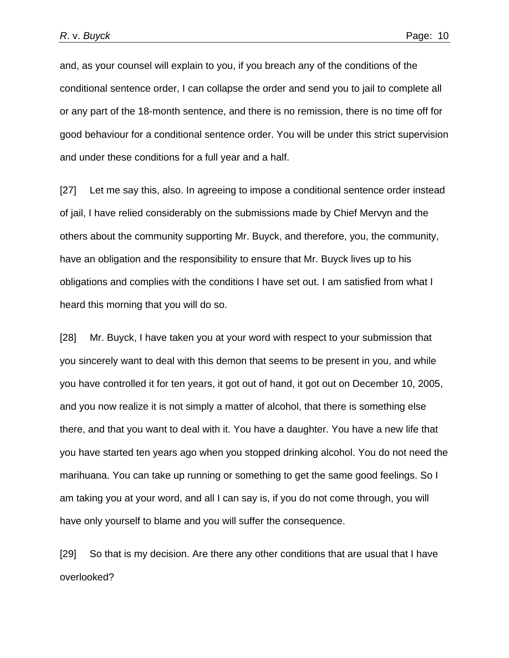and, as your counsel will explain to you, if you breach any of the conditions of the conditional sentence order, I can collapse the order and send you to jail to complete all or any part of the 18-month sentence, and there is no remission, there is no time off for good behaviour for a conditional sentence order. You will be under this strict supervision and under these conditions for a full year and a half.

[27] Let me say this, also. In agreeing to impose a conditional sentence order instead of jail, I have relied considerably on the submissions made by Chief Mervyn and the others about the community supporting Mr. Buyck, and therefore, you, the community, have an obligation and the responsibility to ensure that Mr. Buyck lives up to his obligations and complies with the conditions I have set out. I am satisfied from what I heard this morning that you will do so.

[28] Mr. Buyck, I have taken you at your word with respect to your submission that you sincerely want to deal with this demon that seems to be present in you, and while you have controlled it for ten years, it got out of hand, it got out on December 10, 2005, and you now realize it is not simply a matter of alcohol, that there is something else there, and that you want to deal with it. You have a daughter. You have a new life that you have started ten years ago when you stopped drinking alcohol. You do not need the marihuana. You can take up running or something to get the same good feelings. So I am taking you at your word, and all I can say is, if you do not come through, you will have only yourself to blame and you will suffer the consequence.

[29] So that is my decision. Are there any other conditions that are usual that I have overlooked?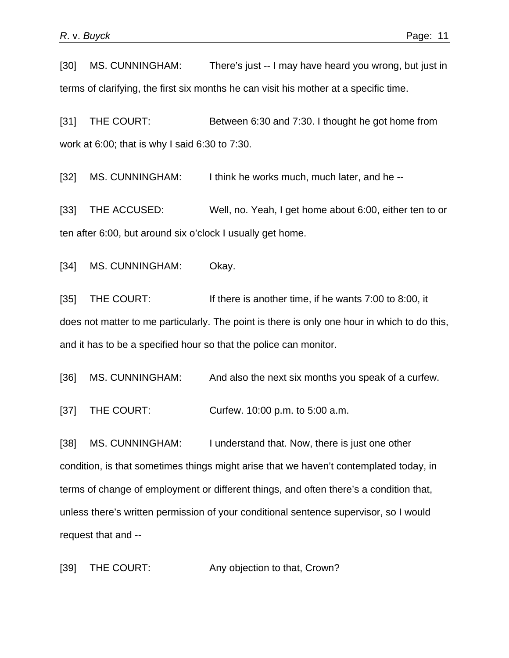[30] MS. CUNNINGHAM: There's just -- I may have heard you wrong, but just in terms of clarifying, the first six months he can visit his mother at a specific time.

[31] THE COURT: Between 6:30 and 7:30. I thought he got home from work at 6:00; that is why I said 6:30 to 7:30.

[32] MS. CUNNINGHAM: I think he works much, much later, and he --

[33] THE ACCUSED: Well, no. Yeah, I get home about 6:00, either ten to or ten after 6:00, but around six o'clock I usually get home.

[34] MS. CUNNINGHAM: Okay.

[35] THE COURT: If there is another time, if he wants 7:00 to 8:00, it does not matter to me particularly. The point is there is only one hour in which to do this, and it has to be a specified hour so that the police can monitor.

[36] MS. CUNNINGHAM: And also the next six months you speak of a curfew.

[37] THE COURT: Curfew. 10:00 p.m. to 5:00 a.m.

[38] MS. CUNNINGHAM: I understand that. Now, there is just one other condition, is that sometimes things might arise that we haven't contemplated today, in terms of change of employment or different things, and often there's a condition that, unless there's written permission of your conditional sentence supervisor, so I would request that and --

[39] THE COURT: Any objection to that, Crown?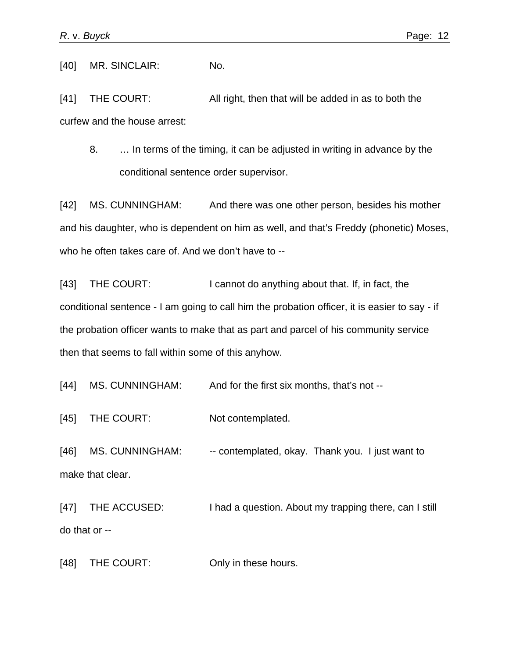[40] MR. SINCLAIR: No.

[41] THE COURT: All right, then that will be added in as to both the curfew and the house arrest:

8. … In terms of the timing, it can be adjusted in writing in advance by the conditional sentence order supervisor.

[42] MS. CUNNINGHAM: And there was one other person, besides his mother and his daughter, who is dependent on him as well, and that's Freddy (phonetic) Moses, who he often takes care of. And we don't have to --

[43] THE COURT: I cannot do anything about that. If, in fact, the conditional sentence - I am going to call him the probation officer, it is easier to say - if the probation officer wants to make that as part and parcel of his community service then that seems to fall within some of this anyhow.

[44] MS. CUNNINGHAM: And for the first six months, that's not --

[45] THE COURT: Not contemplated.

[46] MS. CUNNINGHAM: - - contemplated, okay. Thank you. I just want to make that clear.

[47] THE ACCUSED: I had a question. About my trapping there, can I still do that or --

[48] THE COURT: Only in these hours.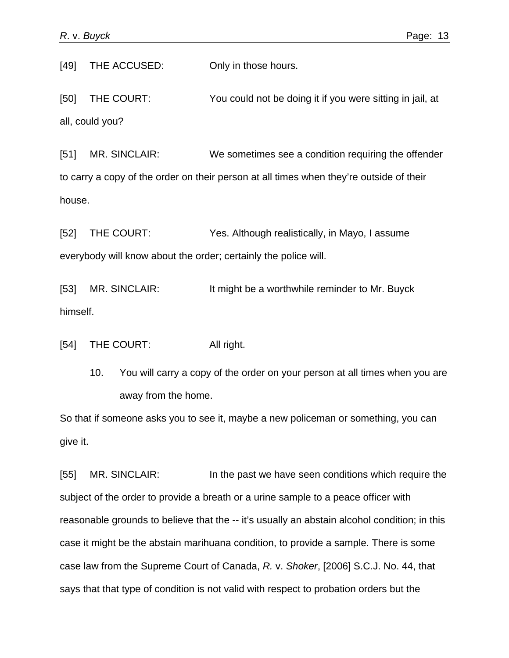[49] THE ACCUSED: Only in those hours.

[50] THE COURT: You could not be doing it if you were sitting in jail, at all, could you?

[51] MR. SINCLAIR: We sometimes see a condition requiring the offender to carry a copy of the order on their person at all times when they're outside of their house.

[52] THE COURT: Yes. Although realistically, in Mayo, I assume everybody will know about the order; certainly the police will.

[53] MR. SINCLAIR: It might be a worthwhile reminder to Mr. Buyck himself.

[54] THE COURT: All right.

10. You will carry a copy of the order on your person at all times when you are away from the home.

So that if someone asks you to see it, maybe a new policeman or something, you can give it.

[55] MR. SINCLAIR: In the past we have seen conditions which require the subject of the order to provide a breath or a urine sample to a peace officer with reasonable grounds to believe that the -- it's usually an abstain alcohol condition; in this case it might be the abstain marihuana condition, to provide a sample. There is some case law from the Supreme Court of Canada, *R.* v. *Shoker*, [2006] S.C.J. No. 44, that says that that type of condition is not valid with respect to probation orders but the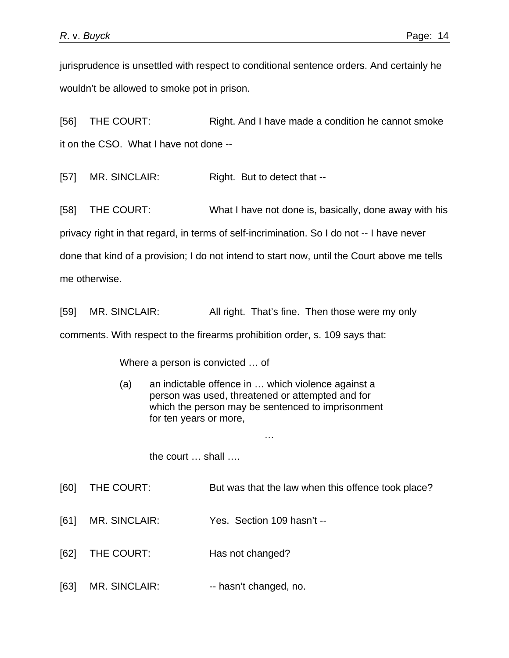jurisprudence is unsettled with respect to conditional sentence orders. And certainly he wouldn't be allowed to smoke pot in prison.

[56] THE COURT: Right. And I have made a condition he cannot smoke it on the CSO. What I have not done --

[57] MR. SINCLAIR: Right. But to detect that --

[58] THE COURT: What I have not done is, basically, done away with his privacy right in that regard, in terms of self-incrimination. So I do not -- I have never done that kind of a provision; I do not intend to start now, until the Court above me tells me otherwise.

[59] MR. SINCLAIR: All right. That's fine. Then those were my only

comments. With respect to the firearms prohibition order, s. 109 says that:

Where a person is convicted … of

(a) an indictable offence in … which violence against a person was used, threatened or attempted and for which the person may be sentenced to imprisonment for ten years or more,

…

the court … shall ….

- [60] THE COURT: But was that the law when this offence took place?
- [61] MR. SINCLAIR: Yes. Section 109 hasn't --
- [62] THE COURT: Has not changed?
- [63] MR. SINCLAIR: -- hasn't changed, no.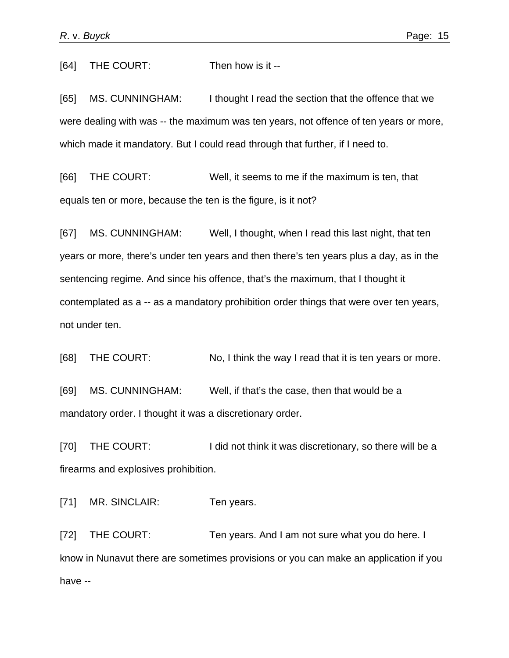[64] THE COURT: Then how is it --

[65] MS. CUNNINGHAM: I thought I read the section that the offence that we were dealing with was -- the maximum was ten years, not offence of ten years or more, which made it mandatory. But I could read through that further, if I need to.

[66] THE COURT: Well, it seems to me if the maximum is ten, that equals ten or more, because the ten is the figure, is it not?

[67] MS. CUNNINGHAM: Well, I thought, when I read this last night, that ten years or more, there's under ten years and then there's ten years plus a day, as in the sentencing regime. And since his offence, that's the maximum, that I thought it contemplated as a -- as a mandatory prohibition order things that were over ten years, not under ten.

[68] THE COURT: No, I think the way I read that it is ten years or more.

[69] MS. CUNNINGHAM: Well, if that's the case, then that would be a mandatory order. I thought it was a discretionary order.

[70] THE COURT: I did not think it was discretionary, so there will be a firearms and explosives prohibition.

[71] MR. SINCLAIR: Ten years.

[72] THE COURT: Ten years. And I am not sure what you do here. I know in Nunavut there are sometimes provisions or you can make an application if you have --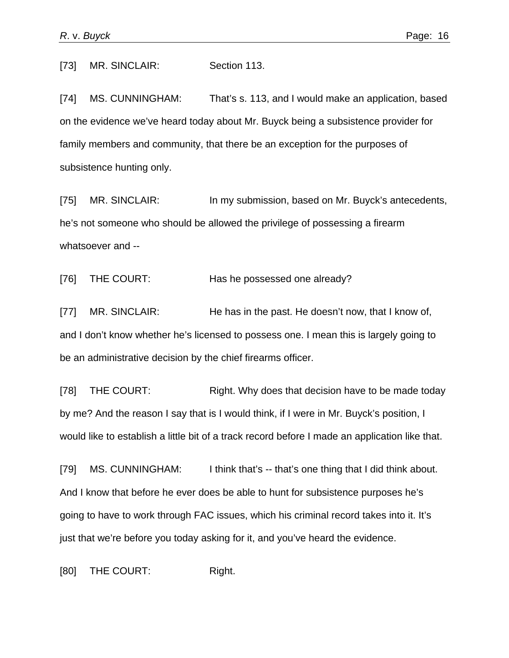[73] MR. SINCLAIR: Section 113.

[74] MS. CUNNINGHAM: That's s. 113, and I would make an application, based on the evidence we've heard today about Mr. Buyck being a subsistence provider for family members and community, that there be an exception for the purposes of subsistence hunting only.

[75] MR. SINCLAIR: In my submission, based on Mr. Buyck's antecedents, he's not someone who should be allowed the privilege of possessing a firearm whatsoever and --

[76] THE COURT: Has he possessed one already?

[77] MR. SINCLAIR: He has in the past. He doesn't now, that I know of, and I don't know whether he's licensed to possess one. I mean this is largely going to be an administrative decision by the chief firearms officer.

[78] THE COURT: Right. Why does that decision have to be made today by me? And the reason I say that is I would think, if I were in Mr. Buyck's position, I would like to establish a little bit of a track record before I made an application like that.

[79] MS. CUNNINGHAM: I think that's -- that's one thing that I did think about. And I know that before he ever does be able to hunt for subsistence purposes he's going to have to work through FAC issues, which his criminal record takes into it. It's just that we're before you today asking for it, and you've heard the evidence.

[80] THE COURT: Right.